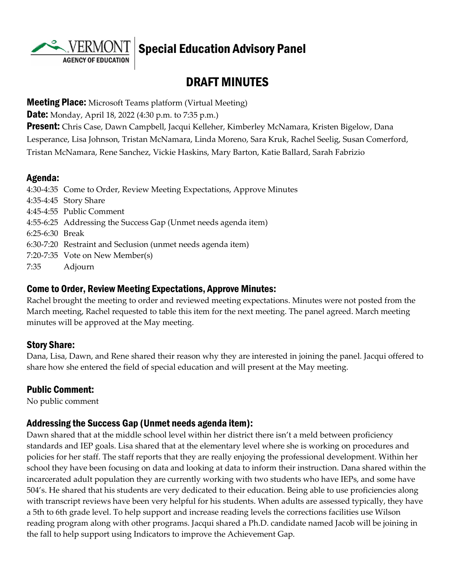**AGENCY OF EDUCATION** 

# Special Education Advisory Panel

# DRAFT MINUTES

**Meeting Place:** Microsoft Teams platform (Virtual Meeting)

**Date:** Monday, April 18, 2022 (4:30 p.m. to 7:35 p.m.)

**Present:** Chris Case, Dawn Campbell, Jacqui Kelleher, Kimberley McNamara, Kristen Bigelow, Dana Lesperance, Lisa Johnson, Tristan McNamara, Linda Moreno, Sara Kruk, Rachel Seelig, Susan Comerford, Tristan McNamara, Rene Sanchez, Vickie Haskins, Mary Barton, Katie Ballard, Sarah Fabrizio

#### Agenda:

4:30-4:35 Come to Order, Review Meeting Expectations, Approve Minutes 4:35-4:45 Story Share 4:45-4:55 Public Comment 4:55-6:25 Addressing the Success Gap (Unmet needs agenda item) 6:25-6:30 Break 6:30-7:20 Restraint and Seclusion (unmet needs agenda item) 7:20-7:35 Vote on New Member(s) 7:35 Adjourn

#### Come to Order, Review Meeting Expectations, Approve Minutes:

Rachel brought the meeting to order and reviewed meeting expectations. Minutes were not posted from the March meeting, Rachel requested to table this item for the next meeting. The panel agreed. March meeting minutes will be approved at the May meeting.

#### Story Share:

Dana, Lisa, Dawn, and Rene shared their reason why they are interested in joining the panel. Jacqui offered to share how she entered the field of special education and will present at the May meeting.

#### Public Comment:

No public comment

#### Addressing the Success Gap (Unmet needs agenda item):

Dawn shared that at the middle school level within her district there isn't a meld between proficiency standards and IEP goals. Lisa shared that at the elementary level where she is working on procedures and policies for her staff. The staff reports that they are really enjoying the professional development. Within her school they have been focusing on data and looking at data to inform their instruction. Dana shared within the incarcerated adult population they are currently working with two students who have IEPs, and some have 504's. He shared that his students are very dedicated to their education. Being able to use proficiencies along with transcript reviews have been very helpful for his students. When adults are assessed typically, they have a 5th to 6th grade level. To help support and increase reading levels the corrections facilities use Wilson reading program along with other programs. Jacqui shared a Ph.D. candidate named Jacob will be joining in the fall to help support using Indicators to improve the Achievement Gap.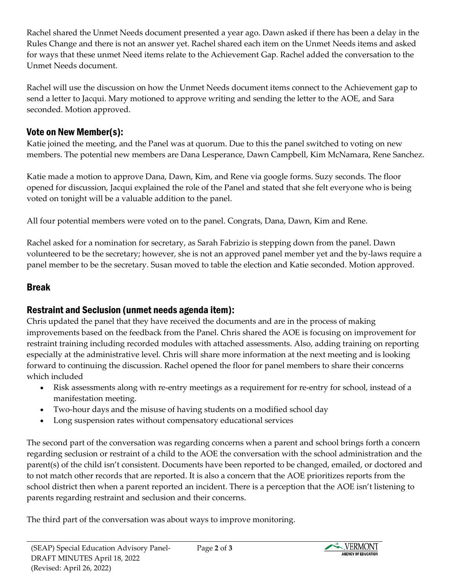Rachel shared the Unmet Needs document presented a year ago. Dawn asked if there has been a delay in the Rules Change and there is not an answer yet. Rachel shared each item on the Unmet Needs items and asked for ways that these unmet Need items relate to the Achievement Gap. Rachel added the conversation to the Unmet Needs document.

Rachel will use the discussion on how the Unmet Needs document items connect to the Achievement gap to send a letter to Jacqui. Mary motioned to approve writing and sending the letter to the AOE, and Sara seconded. Motion approved.

## Vote on New Member(s):

Katie joined the meeting, and the Panel was at quorum. Due to this the panel switched to voting on new members. The potential new members are Dana Lesperance, Dawn Campbell, Kim McNamara, Rene Sanchez.

Katie made a motion to approve Dana, Dawn, Kim, and Rene via google forms. Suzy seconds. The floor opened for discussion, Jacqui explained the role of the Panel and stated that she felt everyone who is being voted on tonight will be a valuable addition to the panel.

All four potential members were voted on to the panel. Congrats, Dana, Dawn, Kim and Rene.

Rachel asked for a nomination for secretary, as Sarah Fabrizio is stepping down from the panel. Dawn volunteered to be the secretary; however, she is not an approved panel member yet and the by-laws require a panel member to be the secretary. Susan moved to table the election and Katie seconded. Motion approved.

## Break

## Restraint and Seclusion (unmet needs agenda item):

Chris updated the panel that they have received the documents and are in the process of making improvements based on the feedback from the Panel. Chris shared the AOE is focusing on improvement for restraint training including recorded modules with attached assessments. Also, adding training on reporting especially at the administrative level. Chris will share more information at the next meeting and is looking forward to continuing the discussion. Rachel opened the floor for panel members to share their concerns which included

- Risk assessments along with re-entry meetings as a requirement for re-entry for school, instead of a manifestation meeting.
- Two-hour days and the misuse of having students on a modified school day
- Long suspension rates without compensatory educational services

The second part of the conversation was regarding concerns when a parent and school brings forth a concern regarding seclusion or restraint of a child to the AOE the conversation with the school administration and the parent(s) of the child isn't consistent. Documents have been reported to be changed, emailed, or doctored and to not match other records that are reported. It is also a concern that the AOE prioritizes reports from the school district then when a parent reported an incident. There is a perception that the AOE isn't listening to parents regarding restraint and seclusion and their concerns.

The third part of the conversation was about ways to improve monitoring.